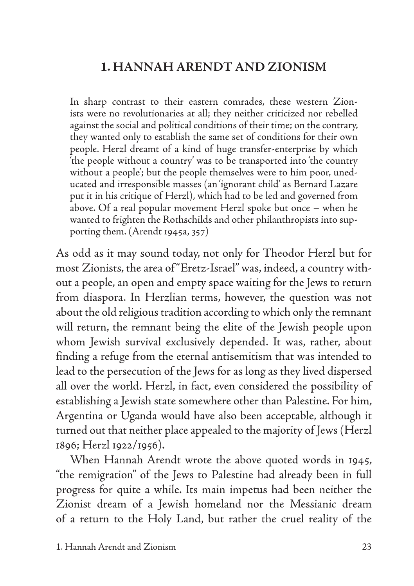# **1. HANNAH ARENDT AND ZIONISM**

In sharp contrast to their eastern comrades, these western Zionists were no revolutionaries at all; they neither criticized nor rebelled against the social and political conditions of their time; on the contrary, they wanted only to establish the same set of conditions for their own people. Herzl dreamt of a kind of huge transfer-enterprise by which 'the people without a country' was to be transported into 'the country without a people'; but the people themselves were to him poor, uneducated and irresponsible masses (an 'ignorant child' as Bernard Lazare put it in his critique of Herzl), which had to be led and governed from above. Of a real popular movement Herzl spoke but once – when he wanted to frighten the Rothschilds and other philanthropists into supporting them. (Arendt 1945a, 357)

As odd as it may sound today, not only for Theodor Herzl but for most Zionists, the area of "Eretz-Israel" was, indeed, a country without a people, an open and empty space waiting for the Jews to return from diaspora. In Herzlian terms, however, the question was not about the old religious tradition according to which only the remnant will return, the remnant being the elite of the Jewish people upon whom Jewish survival exclusively depended. It was, rather, about finding a refuge from the eternal antisemitism that was intended to lead to the persecution of the Jews for as long as they lived dispersed all over the world. Herzl, in fact, even considered the possibility of establishing a Jewish state somewhere other than Palestine. For him, Argentina or Uganda would have also been acceptable, although it turned out that neither place appealed to the majority of Jews (Herzl 1896; Herzl 1922/1956).

When Hannah Arendt wrote the above quoted words in 1945, "the remigration" of the Jews to Palestine had already been in full progress for quite a while. Its main impetus had been neither the Zionist dream of a Jewish homeland nor the Messianic dream of a return to the Holy Land, but rather the cruel reality of the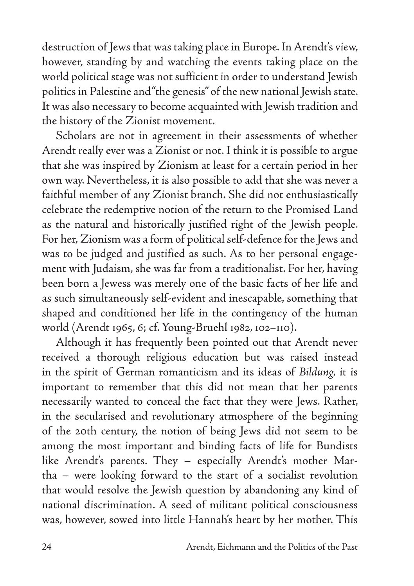destruction of Jews that was taking place in Europe. In Arendt's view, however, standing by and watching the events taking place on the world political stage was not sufficient in order to understand Jewish politics in Palestine and "the genesis" of the new national Jewish state. It was also necessary to become acquainted with Jewish tradition and the history of the Zionist movement.

Scholars are not in agreement in their assessments of whether Arendt really ever was a Zionist or not. I think it is possible to argue that she was inspired by Zionism at least for a certain period in her own way. Nevertheless, it is also possible to add that she was never a faithful member of any Zionist branch. She did not enthusiastically celebrate the redemptive notion of the return to the Promised Land as the natural and historically justified right of the Jewish people. For her, Zionism was a form of political self-defence for the Jews and was to be judged and justified as such. As to her personal engagement with Judaism, she was far from a traditionalist. For her, having been born a Jewess was merely one of the basic facts of her life and as such simultaneously self-evident and inescapable, something that shaped and conditioned her life in the contingency of the human world (Arendt 1965, 6; cf. Young-Bruehl 1982, 102–110).

Although it has frequently been pointed out that Arendt never received a thorough religious education but was raised instead in the spirit of German romanticism and its ideas of *Bildung,* it is important to remember that this did not mean that her parents necessarily wanted to conceal the fact that they were Jews. Rather, in the secularised and revolutionary atmosphere of the beginning of the 20th century, the notion of being Jews did not seem to be among the most important and binding facts of life for Bundists like Arendt's parents. They – especially Arendt's mother Martha – were looking forward to the start of a socialist revolution that would resolve the Jewish question by abandoning any kind of national discrimination. A seed of militant political consciousness was, however, sowed into little Hannah's heart by her mother. This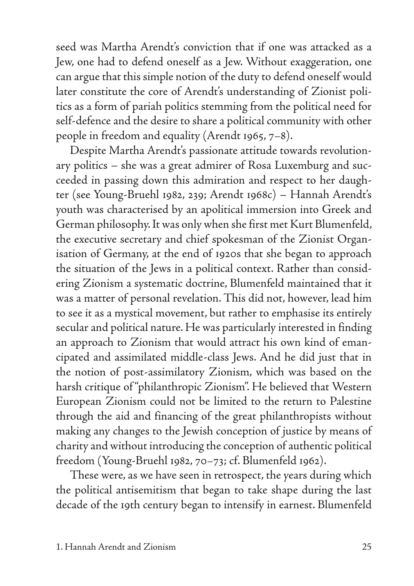seed was Martha Arendt's conviction that if one was attacked as a Jew, one had to defend oneself as a Jew. Without exaggeration, one can argue that this simple notion of the duty to defend oneself would later constitute the core of Arendt's understanding of Zionist politics as a form of pariah politics stemming from the political need for self-defence and the desire to share a political community with other people in freedom and equality (Arendt 1965, 7–8).

Despite Martha Arendt's passionate attitude towards revolutionary politics – she was a great admirer of Rosa Luxemburg and succeeded in passing down this admiration and respect to her daughter (see Young-Bruehl 1982, 239; Arendt 1968c) – Hannah Arendt's youth was characterised by an apolitical immersion into Greek and German philosophy. It was only when she first met Kurt Blumenfeld, the executive secretary and chief spokesman of the Zionist Organisation of Germany, at the end of 1920s that she began to approach the situation of the Jews in a political context. Rather than considering Zionism a systematic doctrine, Blumenfeld maintained that it was a matter of personal revelation. This did not, however, lead him to see it as a mystical movement, but rather to emphasise its entirely secular and political nature. He was particularly interested in finding an approach to Zionism that would attract his own kind of emancipated and assimilated middle-class Jews. And he did just that in the notion of post-assimilatory Zionism, which was based on the harsh critique of "philanthropic Zionism". He believed that Western European Zionism could not be limited to the return to Palestine through the aid and financing of the great philanthropists without making any changes to the Jewish conception of justice by means of charity and without introducing the conception of authentic political freedom (Young-Bruehl 1982, 70–73; cf. Blumenfeld 1962).

These were, as we have seen in retrospect, the years during which the political antisemitism that began to take shape during the last decade of the 19th century began to intensify in earnest. Blumenfeld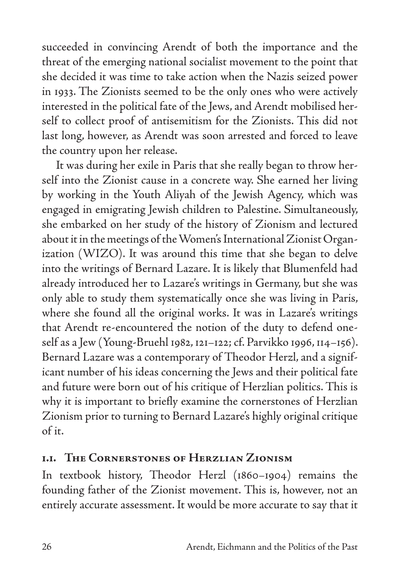succeeded in convincing Arendt of both the importance and the threat of the emerging national socialist movement to the point that she decided it was time to take action when the Nazis seized power in 1933. The Zionists seemed to be the only ones who were actively interested in the political fate of the Jews, and Arendt mobilised herself to collect proof of antisemitism for the Zionists. This did not last long, however, as Arendt was soon arrested and forced to leave the country upon her release.

It was during her exile in Paris that she really began to throw herself into the Zionist cause in a concrete way. She earned her living by working in the Youth Aliyah of the Jewish Agency, which was engaged in emigrating Jewish children to Palestine. Simultaneously, she embarked on her study of the history of Zionism and lectured about it in the meetings of the Women's International Zionist Organization (WIZO). It was around this time that she began to delve into the writings of Bernard Lazare. It is likely that Blumenfeld had already introduced her to Lazare's writings in Germany, but she was only able to study them systematically once she was living in Paris, where she found all the original works. It was in Lazare's writings that Arendt re-encountered the notion of the duty to defend oneself as a Jew (Young-Bruehl 1982, 121–122; cf. Parvikko 1996, 114–156). Bernard Lazare was a contemporary of Theodor Herzl, and a significant number of his ideas concerning the Jews and their political fate and future were born out of his critique of Herzlian politics. This is why it is important to briefly examine the cornerstones of Herzlian Zionism prior to turning to Bernard Lazare's highly original critique of it.

### **1.1. The Cornerstones of Herzlian Zionism**

In textbook history, Theodor Herzl (1860–1904) remains the founding father of the Zionist movement. This is, however, not an entirely accurate assessment. It would be more accurate to say that it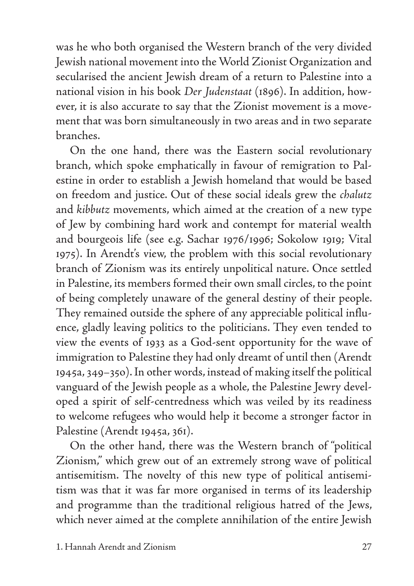was he who both organised the Western branch of the very divided Jewish national movement into the World Zionist Organization and secularised the ancient Jewish dream of a return to Palestine into a national vision in his book *Der Judenstaat* (1896). In addition, however, it is also accurate to say that the Zionist movement is a movement that was born simultaneously in two areas and in two separate branches.

On the one hand, there was the Eastern social revolutionary branch, which spoke emphatically in favour of remigration to Palestine in order to establish a Jewish homeland that would be based on freedom and justice. Out of these social ideals grew the *chalutz*  and *kibbutz* movements, which aimed at the creation of a new type of Jew by combining hard work and contempt for material wealth and bourgeois life (see e.g. Sachar 1976/1996; Sokolow 1919; Vital 1975). In Arendt's view, the problem with this social revolutionary branch of Zionism was its entirely unpolitical nature. Once settled in Palestine, its members formed their own small circles, to the point of being completely unaware of the general destiny of their people. They remained outside the sphere of any appreciable political influence, gladly leaving politics to the politicians. They even tended to view the events of 1933 as a God-sent opportunity for the wave of immigration to Palestine they had only dreamt of until then (Arendt 1945a, 349–35o). In other words, instead of making itself the political vanguard of the Jewish people as a whole, the Palestine Jewry developed a spirit of self-centredness which was veiled by its readiness to welcome refugees who would help it become a stronger factor in Palestine (Arendt 1945a, 361).

On the other hand, there was the Western branch of "political Zionism," which grew out of an extremely strong wave of political antisemitism. The novelty of this new type of political antisemitism was that it was far more organised in terms of its leadership and programme than the traditional religious hatred of the Jews, which never aimed at the complete annihilation of the entire Jewish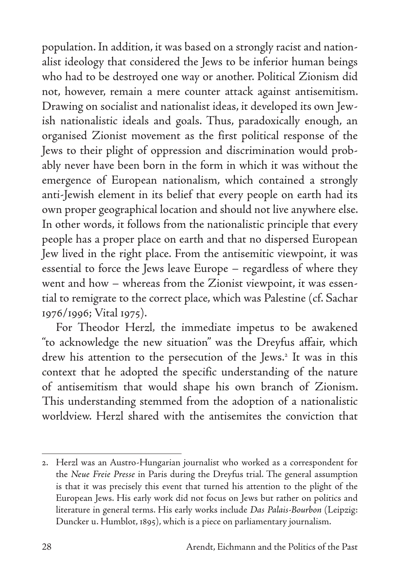population. In addition, it was based on a strongly racist and nationalist ideology that considered the Jews to be inferior human beings who had to be destroyed one way or another. Political Zionism did not, however, remain a mere counter attack against antisemitism. Drawing on socialist and nationalist ideas, it developed its own Jewish nationalistic ideals and goals. Thus, paradoxically enough, an organised Zionist movement as the first political response of the Jews to their plight of oppression and discrimination would probably never have been born in the form in which it was without the emergence of European nationalism, which contained a strongly anti-Jewish element in its belief that every people on earth had its own proper geographical location and should not live anywhere else. In other words, it follows from the nationalistic principle that every people has a proper place on earth and that no dispersed European Jew lived in the right place. From the antisemitic viewpoint, it was essential to force the Jews leave Europe – regardless of where they went and how – whereas from the Zionist viewpoint, it was essential to remigrate to the correct place, which was Palestine (cf. Sachar 1976/1996; Vital 1975).

For Theodor Herzl*,* the immediate impetus to be awakened "to acknowledge the new situation" was the Dreyfus affair, which drew his attention to the persecution of the Jews.<sup>2</sup> It was in this context that he adopted the specific understanding of the nature of antisemitism that would shape his own branch of Zionism. This understanding stemmed from the adoption of a nationalistic worldview. Herzl shared with the antisemites the conviction that

<sup>2.</sup> Herzl was an Austro-Hungarian journalist who worked as a correspondent for the *Neue Freie Presse* in Paris during the Dreyfus trial. The general assumption is that it was precisely this event that turned his attention to the plight of the European Jews. His early work did not focus on Jews but rather on politics and literature in general terms. His early works include *Das Palais-Bourbon* (Leipzig: Duncker u. Humblot, 1895), which is a piece on parliamentary journalism.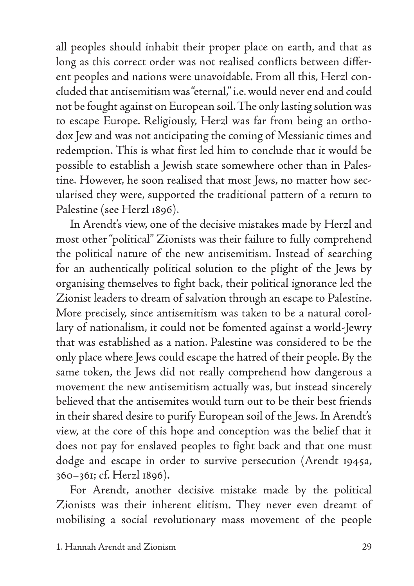all peoples should inhabit their proper place on earth, and that as long as this correct order was not realised conflicts between different peoples and nations were unavoidable. From all this, Herzl concluded that antisemitism was "eternal," i.e. would never end and could not be fought against on European soil. The only lasting solution was to escape Europe. Religiously, Herzl was far from being an orthodox Jew and was not anticipating the coming of Messianic times and redemption. This is what first led him to conclude that it would be possible to establish a Jewish state somewhere other than in Palestine. However, he soon realised that most Jews, no matter how secularised they were, supported the traditional pattern of a return to Palestine (see Herzl 1896).

In Arendt's view, one of the decisive mistakes made by Herzl and most other "political" Zionists was their failure to fully comprehend the political nature of the new antisemitism. Instead of searching for an authentically political solution to the plight of the Jews by organising themselves to fight back, their political ignorance led the Zionist leaders to dream of salvation through an escape to Palestine. More precisely, since antisemitism was taken to be a natural corollary of nationalism, it could not be fomented against a world-Jewry that was established as a nation. Palestine was considered to be the only place where Jews could escape the hatred of their people. By the same token, the Jews did not really comprehend how dangerous a movement the new antisemitism actually was, but instead sincerely believed that the antisemites would turn out to be their best friends in their shared desire to purify European soil of the Jews. In Arendt's view, at the core of this hope and conception was the belief that it does not pay for enslaved peoples to fight back and that one must dodge and escape in order to survive persecution (Arendt 1945a, 360–361; cf. Herzl 1896).

For Arendt, another decisive mistake made by the political Zionists was their inherent elitism. They never even dreamt of mobilising a social revolutionary mass movement of the people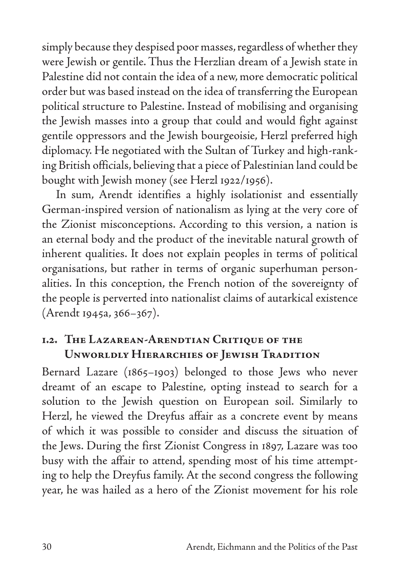simply because they despised poor masses, regardless of whether they were Jewish or gentile. Thus the Herzlian dream of a Jewish state in Palestine did not contain the idea of a new, more democratic political order but was based instead on the idea of transferring the European political structure to Palestine. Instead of mobilising and organising the Jewish masses into a group that could and would fight against gentile oppressors and the Jewish bourgeoisie, Herzl preferred high diplomacy. He negotiated with the Sultan of Turkey and high-ranking British officials, believing that a piece of Palestinian land could be bought with Jewish money (see Herzl 1922/1956).

In sum, Arendt identifies a highly isolationist and essentially German-inspired version of nationalism as lying at the very core of the Zionist misconceptions. According to this version, a nation is an eternal body and the product of the inevitable natural growth of inherent qualities. It does not explain peoples in terms of political organisations, but rather in terms of organic superhuman personalities. In this conception, the French notion of the sovereignty of the people is perverted into nationalist claims of autarkical existence (Arendt 1945a, 366–367).

#### **1.2. The Lazarean-Arendtian Critique of the Unworldly Hierarchies of Jewish Tradition**

Bernard Lazare (1865–1903) belonged to those Jews who never dreamt of an escape to Palestine, opting instead to search for a solution to the Jewish question on European soil. Similarly to Herzl, he viewed the Dreyfus affair as a concrete event by means of which it was possible to consider and discuss the situation of the Jews. During the first Zionist Congress in 1897, Lazare was too busy with the affair to attend, spending most of his time attempting to help the Dreyfus family. At the second congress the following year, he was hailed as a hero of the Zionist movement for his role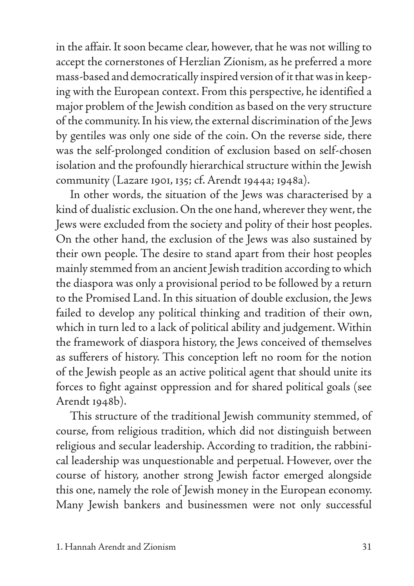in the affair. It soon became clear, however, that he was not willing to accept the cornerstones of Herzlian Zionism, as he preferred a more mass-based and democratically inspired version of it that was in keeping with the European context. From this perspective, he identified a major problem of the Jewish condition as based on the very structure of the community. In his view, the external discrimination of the Jews by gentiles was only one side of the coin. On the reverse side, there was the self-prolonged condition of exclusion based on self-chosen isolation and the profoundly hierarchical structure within the Jewish community (Lazare 1901, 135; cf. Arendt 1944a; 1948a).

In other words, the situation of the Jews was characterised by a kind of dualistic exclusion. On the one hand, wherever they went, the Jews were excluded from the society and polity of their host peoples. On the other hand, the exclusion of the Jews was also sustained by their own people. The desire to stand apart from their host peoples mainly stemmed from an ancient Jewish tradition according to which the diaspora was only a provisional period to be followed by a return to the Promised Land. In this situation of double exclusion, the Jews failed to develop any political thinking and tradition of their own, which in turn led to a lack of political ability and judgement. Within the framework of diaspora history, the Jews conceived of themselves as sufferers of history. This conception left no room for the notion of the Jewish people as an active political agent that should unite its forces to fight against oppression and for shared political goals (see Arendt 1948b).

This structure of the traditional Jewish community stemmed, of course, from religious tradition, which did not distinguish between religious and secular leadership. According to tradition, the rabbinical leadership was unquestionable and perpetual. However, over the course of history, another strong Jewish factor emerged alongside this one, namely the role of Jewish money in the European economy. Many Jewish bankers and businessmen were not only successful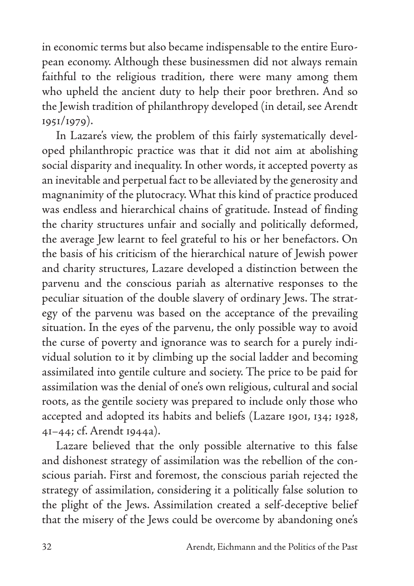in economic terms but also became indispensable to the entire European economy. Although these businessmen did not always remain faithful to the religious tradition, there were many among them who upheld the ancient duty to help their poor brethren. And so the Jewish tradition of philanthropy developed (in detail, see Arendt 1951/1979).

In Lazare's view, the problem of this fairly systematically developed philanthropic practice was that it did not aim at abolishing social disparity and inequality. In other words, it accepted poverty as an inevitable and perpetual fact to be alleviated by the generosity and magnanimity of the plutocracy. What this kind of practice produced was endless and hierarchical chains of gratitude. Instead of finding the charity structures unfair and socially and politically deformed, the average Jew learnt to feel grateful to his or her benefactors. On the basis of his criticism of the hierarchical nature of Jewish power and charity structures, Lazare developed a distinction between the parvenu and the conscious pariah as alternative responses to the peculiar situation of the double slavery of ordinary Jews. The strategy of the parvenu was based on the acceptance of the prevailing situation. In the eyes of the parvenu, the only possible way to avoid the curse of poverty and ignorance was to search for a purely individual solution to it by climbing up the social ladder and becoming assimilated into gentile culture and society. The price to be paid for assimilation was the denial of one's own religious, cultural and social roots, as the gentile society was prepared to include only those who accepted and adopted its habits and beliefs (Lazare 1901, 134; 1928, 41–44; cf. Arendt 1944a).

Lazare believed that the only possible alternative to this false and dishonest strategy of assimilation was the rebellion of the conscious pariah. First and foremost, the conscious pariah rejected the strategy of assimilation, considering it a politically false solution to the plight of the Jews. Assimilation created a self-deceptive belief that the misery of the Jews could be overcome by abandoning one's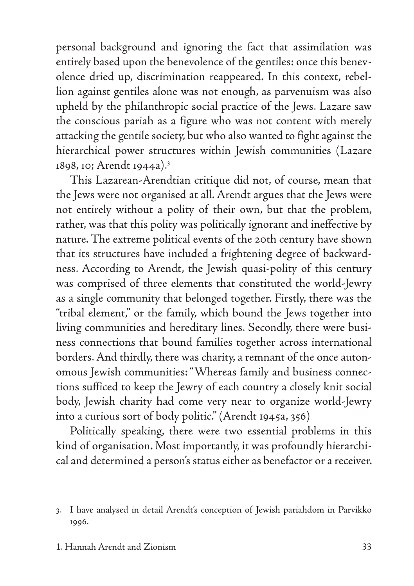personal background and ignoring the fact that assimilation was entirely based upon the benevolence of the gentiles: once this benevolence dried up, discrimination reappeared. In this context, rebellion against gentiles alone was not enough, as parvenuism was also upheld by the philanthropic social practice of the Jews. Lazare saw the conscious pariah as a figure who was not content with merely attacking the gentile society, but who also wanted to fight against the hierarchical power structures within Jewish communities (Lazare 1898, 10; Arendt 1944a).3

This Lazarean-Arendtian critique did not, of course, mean that the Jews were not organised at all. Arendt argues that the Jews were not entirely without a polity of their own, but that the problem, rather, was that this polity was politically ignorant and ineffective by nature. The extreme political events of the 20th century have shown that its structures have included a frightening degree of backwardness. According to Arendt, the Jewish quasi-polity of this century was comprised of three elements that constituted the world-Jewry as a single community that belonged together. Firstly, there was the "tribal element," or the family, which bound the Jews together into living communities and hereditary lines. Secondly, there were business connections that bound families together across international borders. And thirdly, there was charity, a remnant of the once autonomous Jewish communities: "Whereas family and business connections sufficed to keep the Jewry of each country a closely knit social body, Jewish charity had come very near to organize world-Jewry into a curious sort of body politic." (Arendt 1945a, 356)

Politically speaking, there were two essential problems in this kind of organisation. Most importantly, it was profoundly hierarchical and determined a person's status either as benefactor or a receiver.

<sup>3.</sup> I have analysed in detail Arendt's conception of Jewish pariahdom in Parvikko 1996.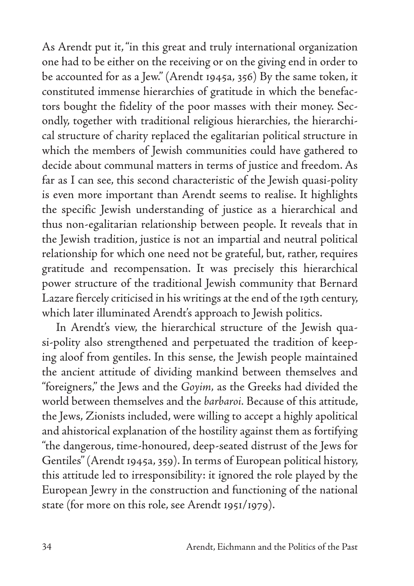As Arendt put it, "in this great and truly international organization one had to be either on the receiving or on the giving end in order to be accounted for as a Jew." (Arendt 1945a, 356) By the same token, it constituted immense hierarchies of gratitude in which the benefactors bought the fidelity of the poor masses with their money. Secondly, together with traditional religious hierarchies, the hierarchical structure of charity replaced the egalitarian political structure in which the members of Jewish communities could have gathered to decide about communal matters in terms of justice and freedom. As far as I can see, this second characteristic of the Jewish quasi-polity is even more important than Arendt seems to realise. It highlights the specific Jewish understanding of justice as a hierarchical and thus non-egalitarian relationship between people. It reveals that in the Jewish tradition, justice is not an impartial and neutral political relationship for which one need not be grateful, but, rather, requires gratitude and recompensation. It was precisely this hierarchical power structure of the traditional Jewish community that Bernard Lazare fiercely criticised in his writings at the end of the 19th century, which later illuminated Arendt's approach to Jewish politics.

In Arendt's view, the hierarchical structure of the Jewish quasi-polity also strengthened and perpetuated the tradition of keeping aloof from gentiles. In this sense, the Jewish people maintained the ancient attitude of dividing mankind between themselves and "foreigners," the Jews and the *Goyim,* as the Greeks had divided the world between themselves and the *barbaroi.* Because of this attitude, the Jews, Zionists included, were willing to accept a highly apolitical and ahistorical explanation of the hostility against them as fortifying "the dangerous, time-honoured, deep-seated distrust of the Jews for Gentiles" (Arendt 1945a, 359). In terms of European political history, this attitude led to irresponsibility: it ignored the role played by the European Jewry in the construction and functioning of the national state (for more on this role, see Arendt 1951/1979).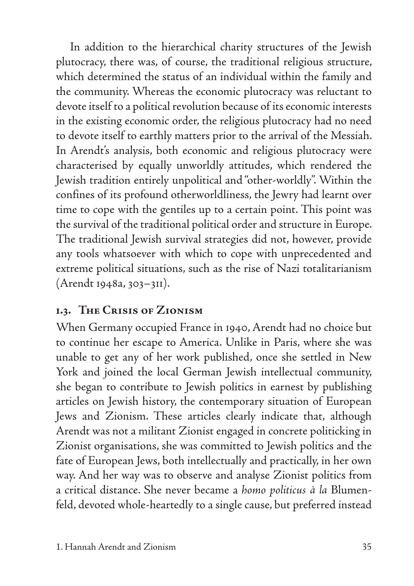In addition to the hierarchical charity structures of the Jewish plutocracy, there was, of course, the traditional religious structure, which determined the status of an individual within the family and the community. Whereas the economic plutocracy was reluctant to devote itself to a political revolution because of its economic interests in the existing economic order, the religious plutocracy had no need to devote itself to earthly matters prior to the arrival of the Messiah. In Arendt's analysis, both economic and religious plutocracy were characterised by equally unworldly attitudes, which rendered the Jewish tradition entirely unpolitical and "other-worldly". Within the confines of its profound otherworldliness, the Jewry had learnt over time to cope with the gentiles up to a certain point. This point was the survival of the traditional political order and structure in Europe. The traditional Jewish survival strategies did not, however, provide any tools whatsoever with which to cope with unprecedented and extreme political situations, such as the rise of Nazi totalitarianism (Arendt 1948a, 303–311).

## **1.3. The Crisis of Zionism**

When Germany occupied France in 1940, Arendt had no choice but to continue her escape to America. Unlike in Paris, where she was unable to get any of her work published, once she settled in New York and joined the local German Jewish intellectual community, she began to contribute to Jewish politics in earnest by publishing articles on Jewish history, the contemporary situation of European Jews and Zionism. These articles clearly indicate that, although Arendt was not a militant Zionist engaged in concrete politicking in Zionist organisations, she was committed to Jewish politics and the fate of European Jews, both intellectually and practically, in her own way. And her way was to observe and analyse Zionist politics from a critical distance. She never became a *homo politicus à la* Blumenfeld, devoted whole-heartedly to a single cause, but preferred instead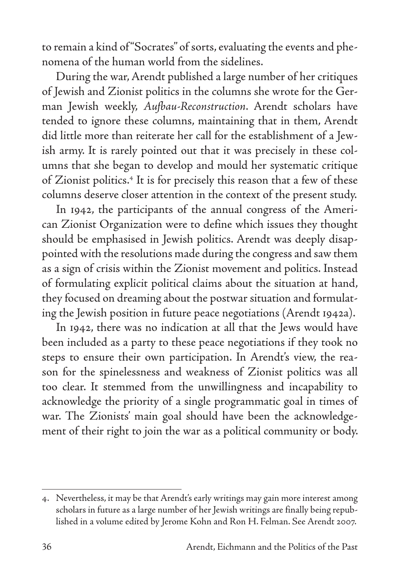to remain a kind of "Socrates" of sorts, evaluating the events and phenomena of the human world from the sidelines.

During the war, Arendt published a large number of her critiques of Jewish and Zionist politics in the columns she wrote for the German Jewish weekly, *Aufbau-Reconstruction*. Arendt scholars have tended to ignore these columns, maintaining that in them, Arendt did little more than reiterate her call for the establishment of a Jewish army. It is rarely pointed out that it was precisely in these columns that she began to develop and mould her systematic critique of Zionist politics.<sup>4</sup> It is for precisely this reason that a few of these columns deserve closer attention in the context of the present study.

In 1942, the participants of the annual congress of the American Zionist Organization were to define which issues they thought should be emphasised in Jewish politics. Arendt was deeply disappointed with the resolutions made during the congress and saw them as a sign of crisis within the Zionist movement and politics. Instead of formulating explicit political claims about the situation at hand, they focused on dreaming about the postwar situation and formulating the Jewish position in future peace negotiations (Arendt 1942a).

In 1942, there was no indication at all that the Jews would have been included as a party to these peace negotiations if they took no steps to ensure their own participation. In Arendt's view, the reason for the spinelessness and weakness of Zionist politics was all too clear. It stemmed from the unwillingness and incapability to acknowledge the priority of a single programmatic goal in times of war. The Zionists' main goal should have been the acknowledgement of their right to join the war as a political community or body.

<sup>4.</sup> Nevertheless, it may be that Arendt's early writings may gain more interest among scholars in future as a large number of her Jewish writings are finally being republished in a volume edited by Jerome Kohn and Ron H. Felman. See Arendt 2007.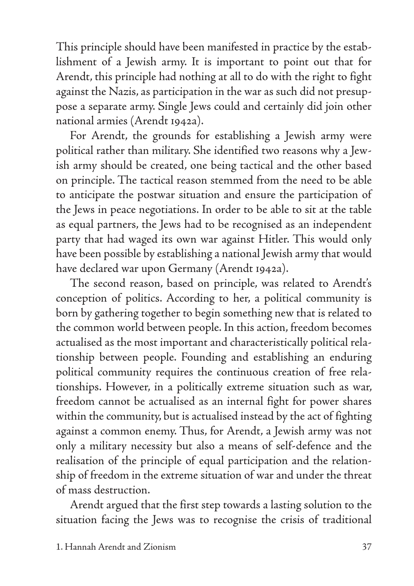This principle should have been manifested in practice by the establishment of a Jewish army. It is important to point out that for Arendt, this principle had nothing at all to do with the right to fight against the Nazis, as participation in the war as such did not presuppose a separate army. Single Jews could and certainly did join other national armies (Arendt 1942a).

For Arendt, the grounds for establishing a Jewish army were political rather than military. She identified two reasons why a Jewish army should be created, one being tactical and the other based on principle. The tactical reason stemmed from the need to be able to anticipate the postwar situation and ensure the participation of the Jews in peace negotiations. In order to be able to sit at the table as equal partners, the Jews had to be recognised as an independent party that had waged its own war against Hitler. This would only have been possible by establishing a national Jewish army that would have declared war upon Germany (Arendt 1942a).

The second reason, based on principle, was related to Arendt's conception of politics. According to her, a political community is born by gathering together to begin something new that is related to the common world between people. In this action, freedom becomes actualised as the most important and characteristically political relationship between people. Founding and establishing an enduring political community requires the continuous creation of free relationships. However, in a politically extreme situation such as war, freedom cannot be actualised as an internal fight for power shares within the community, but is actualised instead by the act of fighting against a common enemy. Thus, for Arendt, a Jewish army was not only a military necessity but also a means of self-defence and the realisation of the principle of equal participation and the relationship of freedom in the extreme situation of war and under the threat of mass destruction.

Arendt argued that the first step towards a lasting solution to the situation facing the Jews was to recognise the crisis of traditional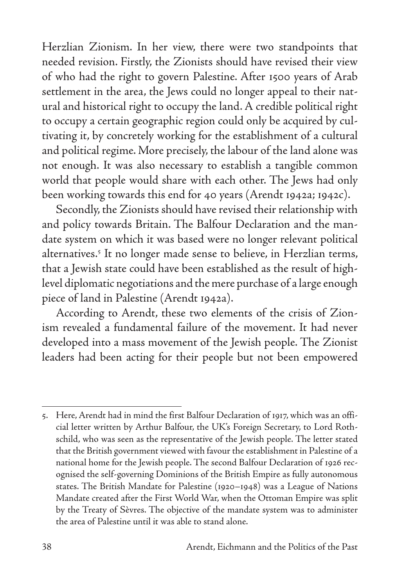Herzlian Zionism. In her view, there were two standpoints that needed revision. Firstly, the Zionists should have revised their view of who had the right to govern Palestine. After 1500 years of Arab settlement in the area, the Jews could no longer appeal to their natural and historical right to occupy the land. A credible political right to occupy a certain geographic region could only be acquired by cultivating it, by concretely working for the establishment of a cultural and political regime. More precisely, the labour of the land alone was not enough. It was also necessary to establish a tangible common world that people would share with each other. The Jews had only been working towards this end for 40 years (Arendt 1942a; 1942c).

Secondly, the Zionists should have revised their relationship with and policy towards Britain. The Balfour Declaration and the mandate system on which it was based were no longer relevant political alternatives.<sup>5</sup> It no longer made sense to believe, in Herzlian terms, that a Jewish state could have been established as the result of highlevel diplomatic negotiations and the mere purchase of a large enough piece of land in Palestine (Arendt 1942a).

According to Arendt, these two elements of the crisis of Zionism revealed a fundamental failure of the movement. It had never developed into a mass movement of the Jewish people. The Zionist leaders had been acting for their people but not been empowered

<sup>5.</sup> Here, Arendt had in mind the first Balfour Declaration of 1917, which was an official letter written by Arthur Balfour, the UK's Foreign Secretary, to Lord Rothschild, who was seen as the representative of the Jewish people. The letter stated that the British government viewed with favour the establishment in Palestine of a national home for the Jewish people. The second Balfour Declaration of 1926 recognised the self-governing Dominions of the British Empire as fully autonomous states. The British Mandate for Palestine (1920–1948) was a League of Nations Mandate created after the First World War, when the Ottoman Empire was split by the Treaty of Sèvres. The objective of the mandate system was to administer the area of Palestine until it was able to stand alone.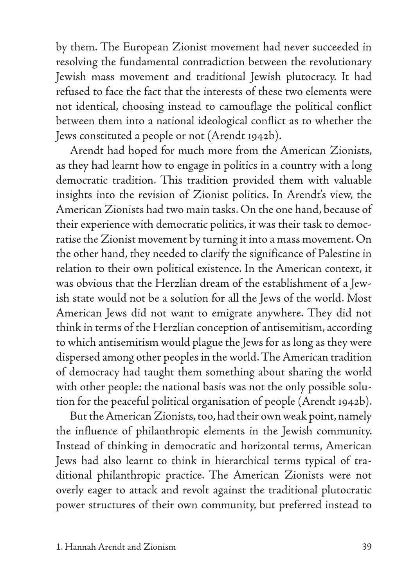by them. The European Zionist movement had never succeeded in resolving the fundamental contradiction between the revolutionary Jewish mass movement and traditional Jewish plutocracy. It had refused to face the fact that the interests of these two elements were not identical, choosing instead to camouflage the political conflict between them into a national ideological conflict as to whether the Jews constituted a people or not (Arendt 1942b).

Arendt had hoped for much more from the American Zionists, as they had learnt how to engage in politics in a country with a long democratic tradition. This tradition provided them with valuable insights into the revision of Zionist politics. In Arendt's view, the American Zionists had two main tasks. On the one hand, because of their experience with democratic politics, it was their task to democratise the Zionist movement by turning it into a mass movement. On the other hand, they needed to clarify the significance of Palestine in relation to their own political existence. In the American context, it was obvious that the Herzlian dream of the establishment of a Jewish state would not be a solution for all the Jews of the world. Most American Jews did not want to emigrate anywhere. They did not think in terms of the Herzlian conception of antisemitism, according to which antisemitism would plague the Jews for as long as they were dispersed among other peoples in the world. The American tradition of democracy had taught them something about sharing the world with other people: the national basis was not the only possible solution for the peaceful political organisation of people (Arendt 1942b).

But the American Zionists, too, had their own weak point, namely the influence of philanthropic elements in the Jewish community. Instead of thinking in democratic and horizontal terms, American Jews had also learnt to think in hierarchical terms typical of traditional philanthropic practice. The American Zionists were not overly eager to attack and revolt against the traditional plutocratic power structures of their own community, but preferred instead to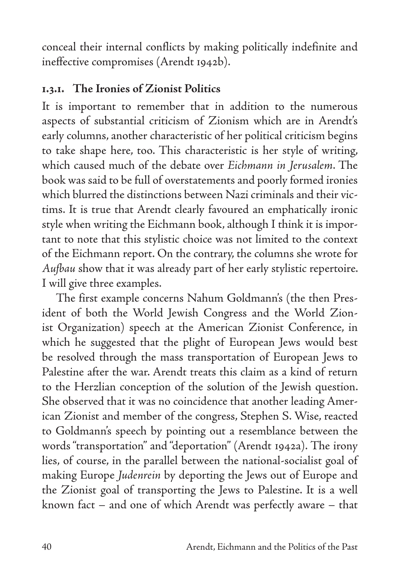conceal their internal conflicts by making politically indefinite and ineffective compromises (Arendt 1942b).

#### **1.3.1. The Ironies of Zionist Politics**

It is important to remember that in addition to the numerous aspects of substantial criticism of Zionism which are in Arendt's early columns, another characteristic of her political criticism begins to take shape here, too. This characteristic is her style of writing, which caused much of the debate over *Eichmann in Jerusalem*. The book was said to be full of overstatements and poorly formed ironies which blurred the distinctions between Nazi criminals and their victims. It is true that Arendt clearly favoured an emphatically ironic style when writing the Eichmann book, although I think it is important to note that this stylistic choice was not limited to the context of the Eichmann report. On the contrary, the columns she wrote for *Aufbau* show that it was already part of her early stylistic repertoire. I will give three examples.

The first example concerns Nahum Goldmann's (the then President of both the World Jewish Congress and the World Zionist Organization) speech at the American Zionist Conference, in which he suggested that the plight of European Jews would best be resolved through the mass transportation of European Jews to Palestine after the war. Arendt treats this claim as a kind of return to the Herzlian conception of the solution of the Jewish question. She observed that it was no coincidence that another leading American Zionist and member of the congress, Stephen S. Wise, reacted to Goldmann's speech by pointing out a resemblance between the words "transportation" and "deportation" (Arendt 1942a). The irony lies, of course, in the parallel between the national-socialist goal of making Europe *Judenrein* by deporting the Jews out of Europe and the Zionist goal of transporting the Jews to Palestine. It is a well known fact – and one of which Arendt was perfectly aware – that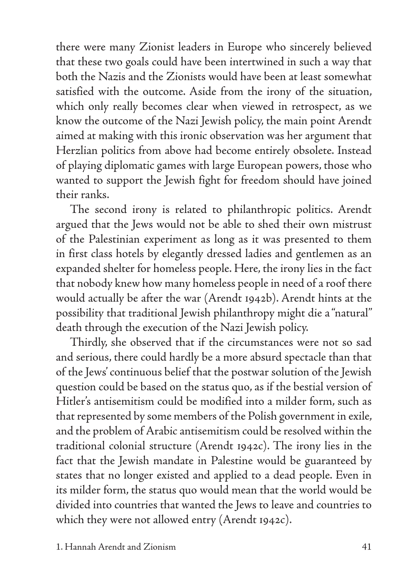there were many Zionist leaders in Europe who sincerely believed that these two goals could have been intertwined in such a way that both the Nazis and the Zionists would have been at least somewhat satisfied with the outcome. Aside from the irony of the situation, which only really becomes clear when viewed in retrospect, as we know the outcome of the Nazi Jewish policy, the main point Arendt aimed at making with this ironic observation was her argument that Herzlian politics from above had become entirely obsolete. Instead of playing diplomatic games with large European powers, those who wanted to support the Jewish fight for freedom should have joined their ranks.

The second irony is related to philanthropic politics. Arendt argued that the Jews would not be able to shed their own mistrust of the Palestinian experiment as long as it was presented to them in first class hotels by elegantly dressed ladies and gentlemen as an expanded shelter for homeless people. Here, the irony lies in the fact that nobody knew how many homeless people in need of a roof there would actually be after the war (Arendt 1942b). Arendt hints at the possibility that traditional Jewish philanthropy might die a "natural" death through the execution of the Nazi Jewish policy.

Thirdly, she observed that if the circumstances were not so sad and serious, there could hardly be a more absurd spectacle than that of the Jews' continuous belief that the postwar solution of the Jewish question could be based on the status quo, as if the bestial version of Hitler's antisemitism could be modified into a milder form, such as that represented by some members of the Polish government in exile, and the problem of Arabic antisemitism could be resolved within the traditional colonial structure (Arendt 1942c). The irony lies in the fact that the Jewish mandate in Palestine would be guaranteed by states that no longer existed and applied to a dead people. Even in its milder form, the status quo would mean that the world would be divided into countries that wanted the Jews to leave and countries to which they were not allowed entry (Arendt 1942c).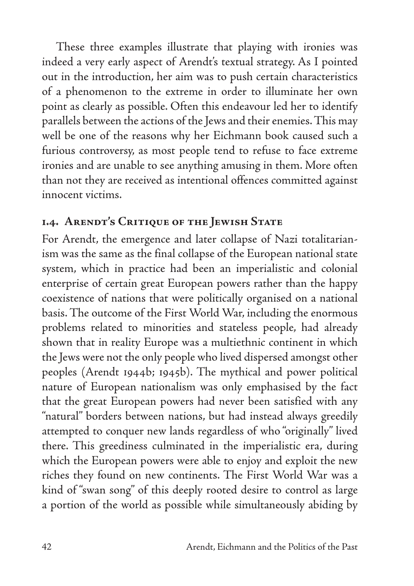These three examples illustrate that playing with ironies was indeed a very early aspect of Arendt's textual strategy. As I pointed out in the introduction, her aim was to push certain characteristics of a phenomenon to the extreme in order to illuminate her own point as clearly as possible. Often this endeavour led her to identify parallels between the actions of the Jews and their enemies. This may well be one of the reasons why her Eichmann book caused such a furious controversy, as most people tend to refuse to face extreme ironies and are unable to see anything amusing in them. More often than not they are received as intentional offences committed against innocent victims.

### **1.4. Arendt's Critique of the Jewish State**

For Arendt, the emergence and later collapse of Nazi totalitarianism was the same as the final collapse of the European national state system, which in practice had been an imperialistic and colonial enterprise of certain great European powers rather than the happy coexistence of nations that were politically organised on a national basis. The outcome of the First World War, including the enormous problems related to minorities and stateless people, had already shown that in reality Europe was a multiethnic continent in which the Jews were not the only people who lived dispersed amongst other peoples (Arendt 1944b; 1945b). The mythical and power political nature of European nationalism was only emphasised by the fact that the great European powers had never been satisfied with any "natural" borders between nations, but had instead always greedily attempted to conquer new lands regardless of who "originally" lived there. This greediness culminated in the imperialistic era, during which the European powers were able to enjoy and exploit the new riches they found on new continents. The First World War was a kind of "swan song" of this deeply rooted desire to control as large a portion of the world as possible while simultaneously abiding by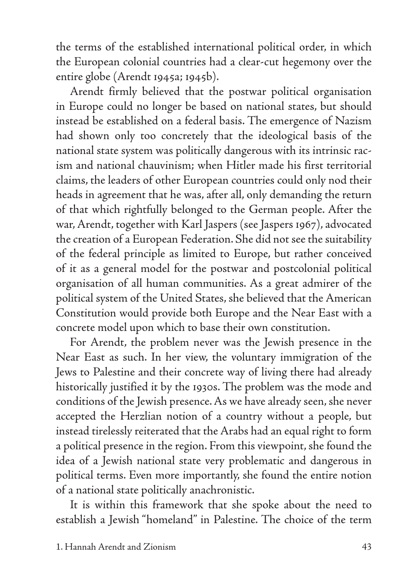the terms of the established international political order, in which the European colonial countries had a clear-cut hegemony over the entire globe (Arendt 1945a; 1945b).

Arendt firmly believed that the postwar political organisation in Europe could no longer be based on national states, but should instead be established on a federal basis. The emergence of Nazism had shown only too concretely that the ideological basis of the national state system was politically dangerous with its intrinsic racism and national chauvinism; when Hitler made his first territorial claims, the leaders of other European countries could only nod their heads in agreement that he was, after all, only demanding the return of that which rightfully belonged to the German people. After the war, Arendt, together with Karl Jaspers (see Jaspers 1967), advocated the creation of a European Federation. She did not see the suitability of the federal principle as limited to Europe, but rather conceived of it as a general model for the postwar and postcolonial political organisation of all human communities. As a great admirer of the political system of the United States, she believed that the American Constitution would provide both Europe and the Near East with a concrete model upon which to base their own constitution.

For Arendt, the problem never was the Jewish presence in the Near East as such. In her view, the voluntary immigration of the Jews to Palestine and their concrete way of living there had already historically justified it by the 1930s. The problem was the mode and conditions of the Jewish presence. As we have already seen, she never accepted the Herzlian notion of a country without a people, but instead tirelessly reiterated that the Arabs had an equal right to form a political presence in the region. From this viewpoint, she found the idea of a Jewish national state very problematic and dangerous in political terms. Even more importantly, she found the entire notion of a national state politically anachronistic.

It is within this framework that she spoke about the need to establish a Jewish "homeland" in Palestine. The choice of the term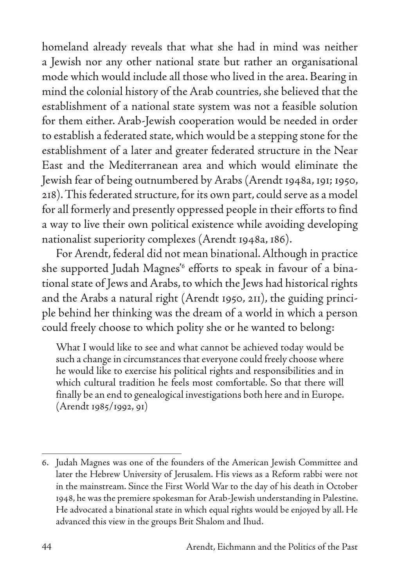homeland already reveals that what she had in mind was neither a Jewish nor any other national state but rather an organisational mode which would include all those who lived in the area. Bearing in mind the colonial history of the Arab countries, she believed that the establishment of a national state system was not a feasible solution for them either. Arab-Jewish cooperation would be needed in order to establish a federated state, which would be a stepping stone for the establishment of a later and greater federated structure in the Near East and the Mediterranean area and which would eliminate the Jewish fear of being outnumbered by Arabs (Arendt 1948a, 191; 1950, 218). This federated structure, for its own part, could serve as a model for all formerly and presently oppressed people in their efforts to find a way to live their own political existence while avoiding developing nationalist superiority complexes (Arendt 1948a, 186).

For Arendt, federal did not mean binational. Although in practice she supported Judah Magnes'6 efforts to speak in favour of a binational state of Jews and Arabs, to which the Jews had historical rights and the Arabs a natural right (Arendt 1950, 211), the guiding principle behind her thinking was the dream of a world in which a person could freely choose to which polity she or he wanted to belong:

What I would like to see and what cannot be achieved today would be such a change in circumstances that everyone could freely choose where he would like to exercise his political rights and responsibilities and in which cultural tradition he feels most comfortable. So that there will finally be an end to genealogical investigations both here and in Europe. (Arendt 1985/1992, 91)

<sup>6.</sup> Judah Magnes was one of the founders of the American Jewish Committee and later the Hebrew University of Jerusalem. His views as a Reform rabbi were not in the mainstream. Since the First World War to the day of his death in October 1948, he was the premiere spokesman for Arab-Jewish understanding in Palestine. He advocated a binational state in which equal rights would be enjoyed by all. He advanced this view in the groups Brit Shalom and Ihud.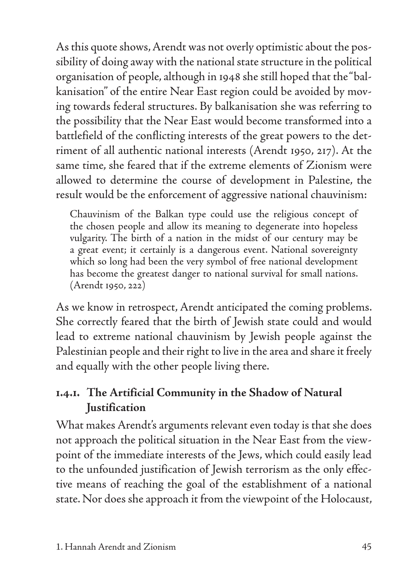As this quote shows, Arendt was not overly optimistic about the possibility of doing away with the national state structure in the political organisation of people, although in 1948 she still hoped that the "balkanisation" of the entire Near East region could be avoided by moving towards federal structures. By balkanisation she was referring to the possibility that the Near East would become transformed into a battlefield of the conflicting interests of the great powers to the detriment of all authentic national interests (Arendt 1950, 217). At the same time, she feared that if the extreme elements of Zionism were allowed to determine the course of development in Palestine, the result would be the enforcement of aggressive national chauvinism:

Chauvinism of the Balkan type could use the religious concept of the chosen people and allow its meaning to degenerate into hopeless vulgarity. The birth of a nation in the midst of our century may be a great event; it certainly is a dangerous event. National sovereignty which so long had been the very symbol of free national development has become the greatest danger to national survival for small nations. (Arendt 1950, 222)

As we know in retrospect, Arendt anticipated the coming problems. She correctly feared that the birth of Jewish state could and would lead to extreme national chauvinism by Jewish people against the Palestinian people and their right to live in the area and share it freely and equally with the other people living there.

## **1.4.1. The Artificial Community in the Shadow of Natural Justification**

What makes Arendt's arguments relevant even today is that she does not approach the political situation in the Near East from the viewpoint of the immediate interests of the Jews, which could easily lead to the unfounded justification of Jewish terrorism as the only effective means of reaching the goal of the establishment of a national state. Nor does she approach it from the viewpoint of the Holocaust,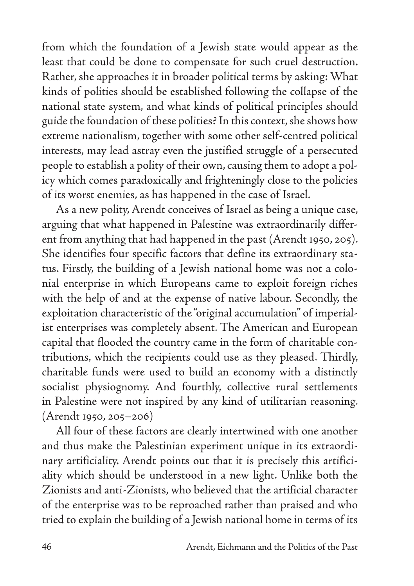from which the foundation of a Jewish state would appear as the least that could be done to compensate for such cruel destruction. Rather, she approaches it in broader political terms by asking: What kinds of polities should be established following the collapse of the national state system, and what kinds of political principles should guide the foundation of these polities? In this context, she shows how extreme nationalism, together with some other self-centred political interests, may lead astray even the justified struggle of a persecuted people to establish a polity of their own, causing them to adopt a policy which comes paradoxically and frighteningly close to the policies of its worst enemies, as has happened in the case of Israel.

As a new polity, Arendt conceives of Israel as being a unique case, arguing that what happened in Palestine was extraordinarily different from anything that had happened in the past (Arendt 1950, 205). She identifies four specific factors that define its extraordinary status. Firstly, the building of a Jewish national home was not a colonial enterprise in which Europeans came to exploit foreign riches with the help of and at the expense of native labour. Secondly, the exploitation characteristic of the "original accumulation" of imperialist enterprises was completely absent. The American and European capital that flooded the country came in the form of charitable contributions, which the recipients could use as they pleased. Thirdly, charitable funds were used to build an economy with a distinctly socialist physiognomy. And fourthly, collective rural settlements in Palestine were not inspired by any kind of utilitarian reasoning. (Arendt 1950, 205–206)

All four of these factors are clearly intertwined with one another and thus make the Palestinian experiment unique in its extraordinary artificiality. Arendt points out that it is precisely this artificiality which should be understood in a new light. Unlike both the Zionists and anti-Zionists, who believed that the artificial character of the enterprise was to be reproached rather than praised and who tried to explain the building of a Jewish national home in terms of its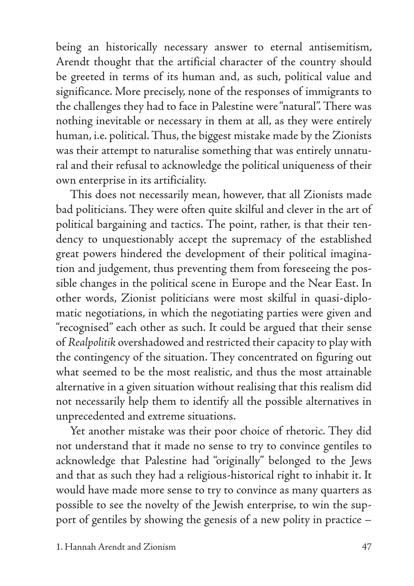being an historically necessary answer to eternal antisemitism, Arendt thought that the artificial character of the country should be greeted in terms of its human and, as such, political value and significance. More precisely, none of the responses of immigrants to the challenges they had to face in Palestine were "natural". There was nothing inevitable or necessary in them at all, as they were entirely human, i.e. political. Thus, the biggest mistake made by the Zionists was their attempt to naturalise something that was entirely unnatural and their refusal to acknowledge the political uniqueness of their own enterprise in its artificiality.

This does not necessarily mean, however, that all Zionists made bad politicians. They were often quite skilful and clever in the art of political bargaining and tactics. The point, rather, is that their tendency to unquestionably accept the supremacy of the established great powers hindered the development of their political imagination and judgement, thus preventing them from foreseeing the possible changes in the political scene in Europe and the Near East. In other words, Zionist politicians were most skilful in quasi-diplomatic negotiations, in which the negotiating parties were given and "recognised" each other as such. It could be argued that their sense of *Realpolitik* overshadowed and restricted their capacity to play with the contingency of the situation. They concentrated on figuring out what seemed to be the most realistic, and thus the most attainable alternative in a given situation without realising that this realism did not necessarily help them to identify all the possible alternatives in unprecedented and extreme situations.

Yet another mistake was their poor choice of rhetoric. They did not understand that it made no sense to try to convince gentiles to acknowledge that Palestine had "originally" belonged to the Jews and that as such they had a religious-historical right to inhabit it. It would have made more sense to try to convince as many quarters as possible to see the novelty of the Jewish enterprise, to win the support of gentiles by showing the genesis of a new polity in practice –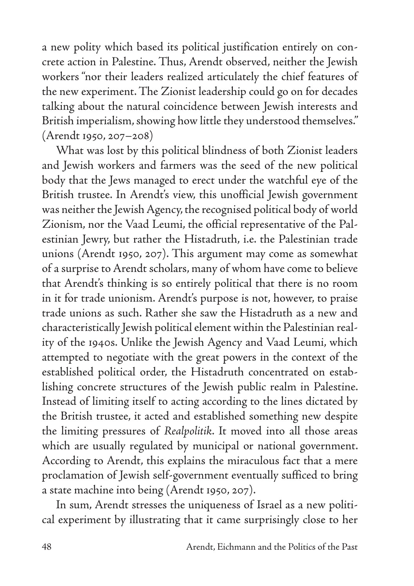a new polity which based its political justification entirely on concrete action in Palestine. Thus, Arendt observed, neither the Jewish workers "nor their leaders realized articulately the chief features of the new experiment. The Zionist leadership could go on for decades talking about the natural coincidence between Jewish interests and British imperialism, showing how little they understood themselves." (Arendt 1950, 207–208)

What was lost by this political blindness of both Zionist leaders and Jewish workers and farmers was the seed of the new political body that the Jews managed to erect under the watchful eye of the British trustee. In Arendt's view, this unofficial Jewish government was neither the Jewish Agency, the recognised political body of world Zionism, nor the Vaad Leumi, the official representative of the Palestinian Jewry, but rather the Histadruth, i.e. the Palestinian trade unions (Arendt 1950, 207). This argument may come as somewhat of a surprise to Arendt scholars, many of whom have come to believe that Arendt's thinking is so entirely political that there is no room in it for trade unionism. Arendt's purpose is not, however, to praise trade unions as such. Rather she saw the Histadruth as a new and characteristically Jewish political element within the Palestinian reality of the 1940s. Unlike the Jewish Agency and Vaad Leumi, which attempted to negotiate with the great powers in the context of the established political order, the Histadruth concentrated on establishing concrete structures of the Jewish public realm in Palestine. Instead of limiting itself to acting according to the lines dictated by the British trustee, it acted and established something new despite the limiting pressures of *Realpolitik*. It moved into all those areas which are usually regulated by municipal or national government. According to Arendt, this explains the miraculous fact that a mere proclamation of Jewish self-government eventually sufficed to bring a state machine into being (Arendt 1950, 207).

In sum, Arendt stresses the uniqueness of Israel as a new political experiment by illustrating that it came surprisingly close to her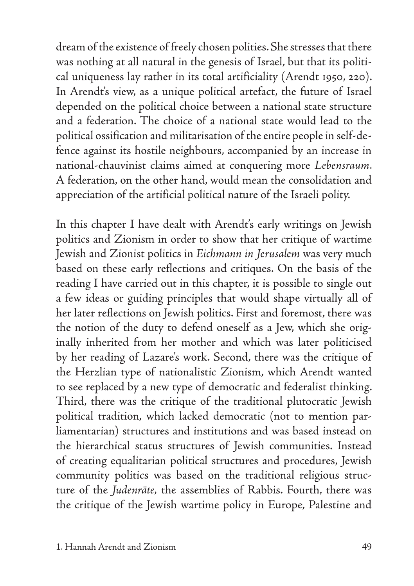dream of the existence of freely chosen polities. She stresses that there was nothing at all natural in the genesis of Israel, but that its political uniqueness lay rather in its total artificiality (Arendt 1950, 220). In Arendt's view, as a unique political artefact, the future of Israel depended on the political choice between a national state structure and a federation. The choice of a national state would lead to the political ossification and militarisation of the entire people in self-defence against its hostile neighbours, accompanied by an increase in national-chauvinist claims aimed at conquering more *Lebensraum*. A federation, on the other hand, would mean the consolidation and appreciation of the artificial political nature of the Israeli polity.

In this chapter I have dealt with Arendt's early writings on Jewish politics and Zionism in order to show that her critique of wartime Jewish and Zionist politics in *Eichmann in Jerusalem* was very much based on these early reflections and critiques. On the basis of the reading I have carried out in this chapter, it is possible to single out a few ideas or guiding principles that would shape virtually all of her later reflections on Jewish politics. First and foremost, there was the notion of the duty to defend oneself as a Jew, which she originally inherited from her mother and which was later politicised by her reading of Lazare's work. Second, there was the critique of the Herzlian type of nationalistic Zionism, which Arendt wanted to see replaced by a new type of democratic and federalist thinking. Third, there was the critique of the traditional plutocratic Jewish political tradition, which lacked democratic (not to mention parliamentarian) structures and institutions and was based instead on the hierarchical status structures of Jewish communities. Instead of creating equalitarian political structures and procedures, Jewish community politics was based on the traditional religious structure of the *Judenräte,* the assemblies of Rabbis. Fourth, there was the critique of the Jewish wartime policy in Europe, Palestine and